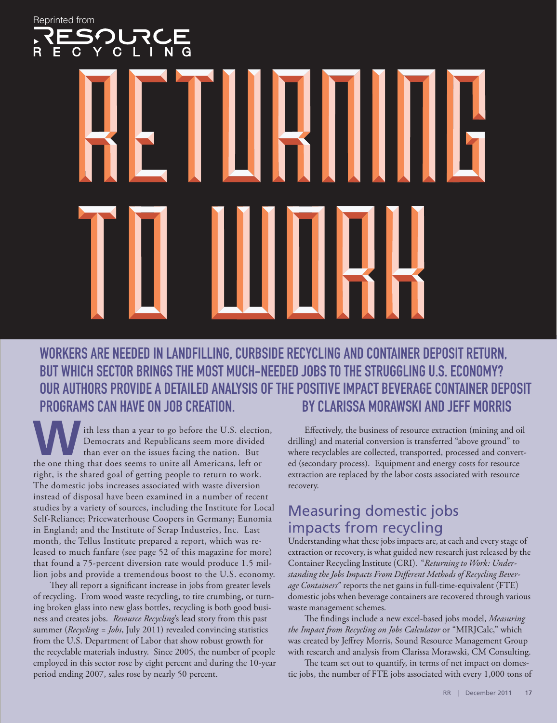Reprinted from $\overline{C}$ 

Workers are needed in landfilling, curbside recycling and container deposit return, but which sector brings the most much-needed jobs to the struggling U.S. economy? Our authors provide a detailed analysis of the positive impact beverage container deposit programs can have on job creation. By Clarissa Morawski and Jeff Morris

ith less than a year to go before the U.S. election, Democrats and Republicans seem more divided than ever on the issues facing the nation. But the one thing that does seems to unite all Americans, left or right, is the shared goal of getting people to return to work. The domestic jobs increases associated with waste diversion instead of disposal have been examined in a number of recent studies by a variety of sources, including the Institute for Local Self-Reliance; Pricewaterhouse Coopers in Germany; Eunomia in England; and the Institute of Scrap Industries, Inc. Last month, the Tellus Institute prepared a report, which was released to much fanfare (see page 52 of this magazine for more) that found a 75-percent diversion rate would produce 1.5 million jobs and provide a tremendous boost to the U.S. economy.

They all report a significant increase in jobs from greater levels of recycling. From wood waste recycling, to tire crumbing, or turning broken glass into new glass bottles, recycling is both good business and creates jobs. *Resource Recycling*'s lead story from this past summer (*Recycling = Jobs*, July 2011) revealed convincing statistics from the U.S. Department of Labor that show robust growth for the recyclable materials industry. Since 2005, the number of people employed in this sector rose by eight percent and during the 10-year period ending 2007, sales rose by nearly 50 percent.

Effectively, the business of resource extraction (mining and oil drilling) and material conversion is transferred "above ground" to where recyclables are collected, transported, processed and converted (secondary process). Equipment and energy costs for resource extraction are replaced by the labor costs associated with resource recovery.

# Measuring domestic jobs impacts from recycling

Understanding what these jobs impacts are, at each and every stage of extraction or recovery, is what guided new research just released by the Container Recycling Institute (CRI). "*Returning to Work: Understanding the Jobs Impacts From Different Methods of Recycling Beverage Containers*" reports the net gains in full-time-equivalent (FTE) domestic jobs when beverage containers are recovered through various waste management schemes.

The findings include a new excel-based jobs model, *Measuring the Impact from Recycling on Jobs Calculator* or "MIRJCalc," which was created by Jeffrey Morris, Sound Resource Management Group with research and analysis from Clarissa Morawski, CM Consulting.

The team set out to quantify, in terms of net impact on domestic jobs, the number of FTE jobs associated with every 1,000 tons of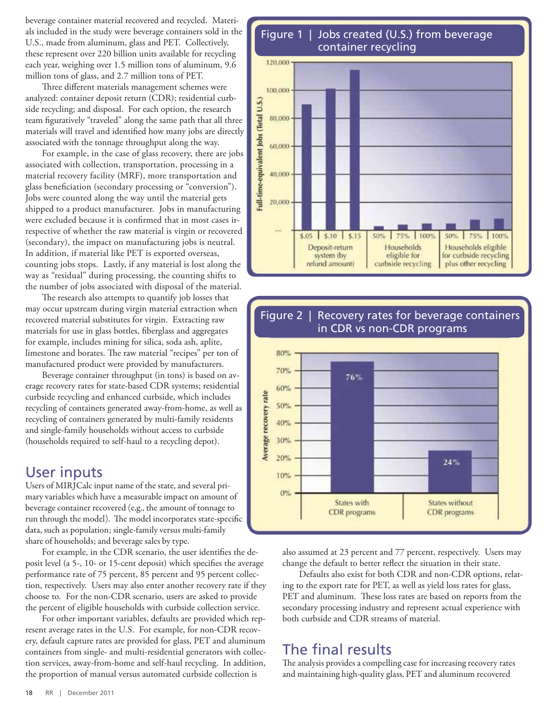beverage container material recovered and recycled. Materials included in the study were beverage containers sold in the U.S., made from aluminum, glass and PET. Collectively, these represent over 220 billion units available for recycling each year, weighing over 1.5 million tons of aluminum, 9.6 million tons of glass, and 2.7 million tons of PET.

Three different materials management schemes were analyzed: container deposit return (CDR); residential curbside recycling; and disposal. For each option, the research team figuratively "traveled" along the same path that all three materials will travel and identified how many jobs are directly associated with the tonnage throughput along the way.

For example, in the case of glass recovery, there are jobs associated with collection, transportation, processing in a material recovery facility (MRF), more transportation and glass beneficiation (secondary processing or "conversion"). Jobs were counted along the way until the material gets shipped to a product manufacturer. Jobs in manufacturing were excluded because it is confirmed that in most cases irrespective of whether the raw material is virgin or recovered (secondary), the impact on manufacturing jobs is neutral. In addition, if material like PET is exported overseas, counting jobs stops. Lastly, if any material is lost along the way as "residual" during processing, the counting shifts to the number of jobs associated with disposal of the material.

The research also attempts to quantify job losses that may occur upstream during virgin material extraction when recovered material substitutes for virgin. Extracting raw materials for use in glass bottles, fiberglass and aggregates for example, includes mining for silica, soda ash, aplite, limestone and borates. The raw material "recipes" per ton of manufactured product were provided by manufacturers.

Beverage container throughput (in tons) is based on average recovery rates for state-based CDR systems; residential curbside recycling and enhanced curbside, which includes recycling of containers generated away-from-home, as well as recycling of containers generated by multi-family residents and single-family households without access to curbside (households required to self-haul to a recycling depot).

### User inputs

Users of MIRJCalc input name of the state, and several primary variables which have a measurable impact on amount of beverage container recovered (e.g., the amount of tonnage to run through the model). The model incorporates state-specific data, such as population; single-family versus multi-family share of households; and beverage sales by type.

For example, in the CDR scenario, the user identifies the deposit level (a 5-, 10- or 15-cent deposit) which specifies the average performance rate of 75 percent, 85 percent and 95 percent collection, respectively. Users may also enter another recovery rate if they choose to. For the non-CDR scenario, users are asked to provide the percent of eligible households with curbside collection service.

For other important variables, defaults are provided which represent average rates in the U.S. For example, for non-CDR recovery, default capture rates are provided for glass, PET and aluminum containers from single- and multi-residential generators with collection services, away-from-home and self-haul recycling. In addition, the proportion of manual versus automated curbside collection is

Figure 1 | Jobs created (U.S.) from beverage container recycling





also assumed at 23 percent and 77 percent, respectively. Users may change the default to better reflect the situation in their state.

Defaults also exist for both CDR and non-CDR options, relating to the export rate for PET, as well as yield loss rates for glass, PET and aluminum. These loss rates are based on reports from the secondary processing industry and represent actual experience with both curbside and CDR streams of material.

## The final results

The analysis provides a compelling case for increasing recovery rates and maintaining high-quality glass, PET and aluminum recovered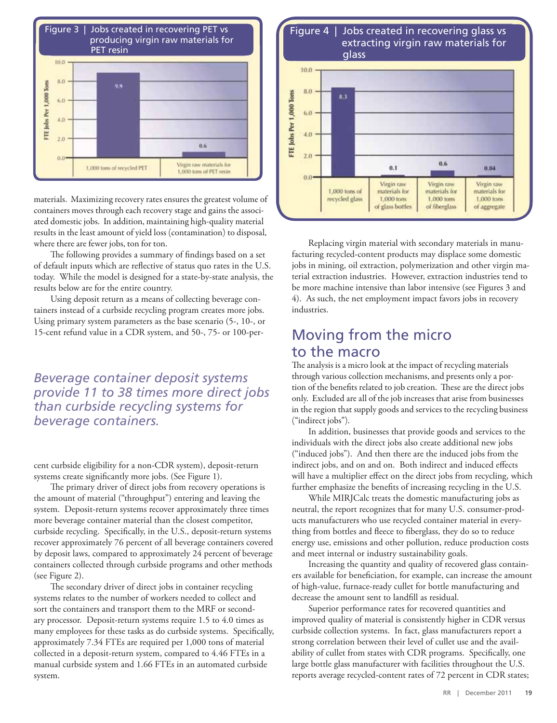

materials. Maximizing recovery rates ensures the greatest volume of containers moves through each recovery stage and gains the associated domestic jobs. In addition, maintaining high-quality material results in the least amount of yield loss (contamination) to disposal, where there are fewer jobs, ton for ton.

The following provides a summary of findings based on a set of default inputs which are reflective of status quo rates in the U.S. today. While the model is designed for a state-by-state analysis, the results below are for the entire country.

Using deposit return as a means of collecting beverage containers instead of a curbside recycling program creates more jobs. Using primary system parameters as the base scenario (5-, 10-, or 15-cent refund value in a CDR system, and 50-, 75- or 100-per-

*Beverage container deposit systems provide 11 to 38 times more direct jobs than curbside recycling systems for beverage containers.* 

cent curbside eligibility for a non-CDR system), deposit-return systems create significantly more jobs. (See Figure 1).

The primary driver of direct jobs from recovery operations is the amount of material ("throughput") entering and leaving the system. Deposit-return systems recover approximately three times more beverage container material than the closest competitor, curbside recycling. Specifically, in the U.S., deposit-return systems recover approximately 76 percent of all beverage containers covered by deposit laws, compared to approximately 24 percent of beverage containers collected through curbside programs and other methods (see Figure 2).

The secondary driver of direct jobs in container recycling systems relates to the number of workers needed to collect and sort the containers and transport them to the MRF or secondary processor. Deposit-return systems require 1.5 to 4.0 times as many employees for these tasks as do curbside systems. Specifically, approximately 7.34 FTEs are required per 1,000 tons of material collected in a deposit-return system, compared to 4.46 FTEs in a manual curbside system and 1.66 FTEs in an automated curbside system.



Replacing virgin material with secondary materials in manufacturing recycled-content products may displace some domestic jobs in mining, oil extraction, polymerization and other virgin material extraction industries. However, extraction industries tend to be more machine intensive than labor intensive (see Figures 3 and 4). As such, the net employment impact favors jobs in recovery industries.

## Moving from the micro to the macro

The analysis is a micro look at the impact of recycling materials through various collection mechanisms, and presents only a portion of the benefits related to job creation. These are the direct jobs only. Excluded are all of the job increases that arise from businesses in the region that supply goods and services to the recycling business ("indirect jobs").

In addition, businesses that provide goods and services to the individuals with the direct jobs also create additional new jobs ("induced jobs"). And then there are the induced jobs from the indirect jobs, and on and on. Both indirect and induced effects will have a multiplier effect on the direct jobs from recycling, which further emphasize the benefits of increasing recycling in the U.S.

While MIRJCalc treats the domestic manufacturing jobs as neutral, the report recognizes that for many U.S. consumer-products manufacturers who use recycled container material in everything from bottles and fleece to fiberglass, they do so to reduce energy use, emissions and other pollution, reduce production costs and meet internal or industry sustainability goals.

Increasing the quantity and quality of recovered glass containers available for beneficiation, for example, can increase the amount of high-value, furnace-ready cullet for bottle manufacturing and decrease the amount sent to landfill as residual.

Superior performance rates for recovered quantities and improved quality of material is consistently higher in CDR versus curbside collection systems. In fact, glass manufacturers report a strong correlation between their level of cullet use and the availability of cullet from states with CDR programs. Specifically, one large bottle glass manufacturer with facilities throughout the U.S. reports average recycled-content rates of 72 percent in CDR states;